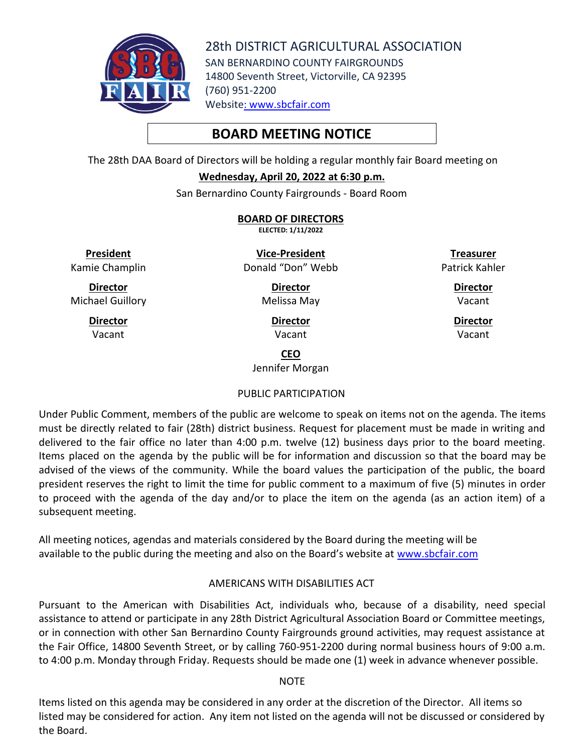

28th DISTRICT AGRICULTURAL ASSOCIATION SAN BERNARDINO COUNTY FAIRGROUNDS 14800 Seventh Street, Victorville, CA 92395 (760) 951-2200 Website: [www.sbcfair.com](http://www.sbcfair.com/)

# **BOARD MEETING NOTICE**

The 28th DAA Board of Directors will be holding a regular monthly fair Board meeting on

**Wednesday, April 20, 2022 at 6:30 p.m.**

San Bernardino County Fairgrounds - Board Room

**BOARD OF DIRECTORS ELECTED: 1/11/2022**

**President** Kamie Champlin

**Director** Michael Guillory

> **Director** Vacant

**Vice-President** Donald "Don" Webb

**Treasurer** Patrick Kahler

> **Director** Vacant

**Director** Melissa May

> **Director** Vacant

**Director**

Vacant

**CEO**

Jennifer Morgan

## PUBLIC PARTICIPATION

Under Public Comment, members of the public are welcome to speak on items not on the agenda. The items must be directly related to fair (28th) district business. Request for placement must be made in writing and delivered to the fair office no later than 4:00 p.m. twelve (12) business days prior to the board meeting. Items placed on the agenda by the public will be for information and discussion so that the board may be advised of the views of the community. While the board values the participation of the public, the board president reserves the right to limit the time for public comment to a maximum of five (5) minutes in order to proceed with the agenda of the day and/or to place the item on the agenda (as an action item) of a subsequent meeting.

All meeting notices, agendas and materials considered by the Board during the meeting will be available to the public during the meeting and also on the Board's website at [www.sbcfair.com](http://www.sbcfair.com/)

## AMERICANS WITH DISABILITIES ACT

Pursuant to the American with Disabilities Act, individuals who, because of a disability, need special assistance to attend or participate in any 28th District Agricultural Association Board or Committee meetings, or in connection with other San Bernardino County Fairgrounds ground activities, may request assistance at the Fair Office, 14800 Seventh Street, or by calling 760-951-2200 during normal business hours of 9:00 a.m. to 4:00 p.m. Monday through Friday. Requests should be made one (1) week in advance whenever possible.

## **NOTE**

Items listed on this agenda may be considered in any order at the discretion of the Director. All items so listed may be considered for action. Any item not listed on the agenda will not be discussed or considered by the Board.